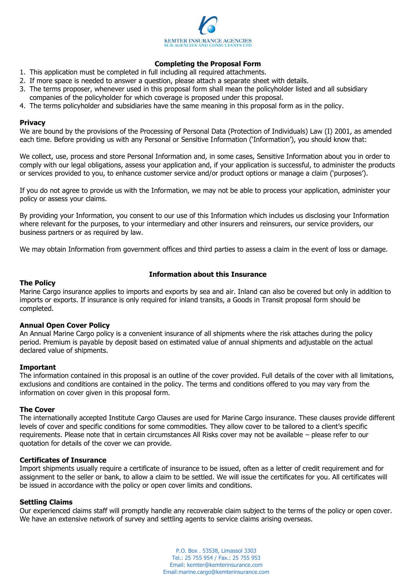

# **Completing the Proposal Form**

- 1. This application must be completed in full including all required attachments.
- 2. If more space is needed to answer a question, please attach a separate sheet with details.
- 3. The terms proposer, whenever used in this proposal form shall mean the policyholder listed and all subsidiary
- companies of the policyholder for which coverage is proposed under this proposal.
- 4. The terms policyholder and subsidiaries have the same meaning in this proposal form as in the policy.

#### **Privacy**

We are bound by the provisions of the Processing of Personal Data (Protection of Individuals) Law (I) 2001, as amended each time. Before providing us with any Personal or Sensitive Information ('Information'), you should know that:

We collect, use, process and store Personal Information and, in some cases, Sensitive Information about you in order to comply with our legal obligations, assess your application and, if your application is successful, to administer the products or services provided to you, to enhance customer service and/or product options or manage a claim ('purposes').

If you do not agree to provide us with the Information, we may not be able to process your application, administer your policy or assess your claims.

By providing your Information, you consent to our use of this Information which includes us disclosing your Information where relevant for the purposes, to your intermediary and other insurers and reinsurers, our service providers, our business partners or as required by law.

We may obtain Information from government offices and third parties to assess a claim in the event of loss or damage.

#### **The Policy**

## **Information about this Insurance**

Marine Cargo insurance applies to imports and exports by sea and air. Inland can also be covered but only in addition to imports or exports. If insurance is only required for inland transits, a Goods in Transit proposal form should be completed.

## **Annual Open Cover Policy**

An Annual Marine Cargo policy is a convenient insurance of all shipments where the risk attaches during the policy period. Premium is payable by deposit based on estimated value of annual shipments and adjustable on the actual declared value of shipments.

#### **Important**

The information contained in this proposal is an outline of the cover provided. Full details of the cover with all limitations, exclusions and conditions are contained in the policy. The terms and conditions offered to you may vary from the information on cover given in this proposal form.

#### **The Cover**

The internationally accepted Institute Cargo Clauses are used for Marine Cargo insurance. These clauses provide different levels of cover and specific conditions for some commodities. They allow cover to be tailored to a client's specific requirements. Please note that in certain circumstances All Risks cover may not be available – please refer to our quotation for details of the cover we can provide.

#### **Certificates of Insurance**

Import shipments usually require a certificate of insurance to be issued, often as a letter of credit requirement and for assignment to the seller or bank, to allow a claim to be settled. We will issue the certificates for you. All certificates will be issued in accordance with the policy or open cover limits and conditions.

## **Settling Claims**

Our experienced claims staff will promptly handle any recoverable claim subject to the terms of the policy or open cover. We have an extensive network of survey and settling agents to service claims arising overseas.

> P.O. Box . 53538, Limassol 3303 Tel.: 25 755 954 / Fax.: 25 755 953 Email: kemter@kemterinsurance.com Email:marine.cargo@kemterinsurance.com